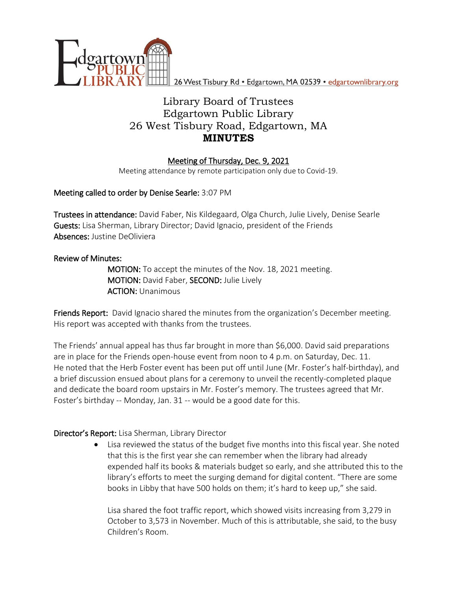

26 West Tisbury Rd · Edgartown, MA 02539 · edgartownlibrary.org

# Library Board of Trustees Edgartown Public Library 26 West Tisbury Road, Edgartown, MA **MINUTES**

### Meeting of Thursday, Dec. 9, 2021

Meeting attendance by remote participation only due to Covid-19.

### Meeting called to order by Denise Searle: 3:07 PM

Trustees in attendance: David Faber, Nis Kildegaard, Olga Church, Julie Lively, Denise Searle Guests: Lisa Sherman, Library Director; David Ignacio, president of the Friends Absences: Justine DeOliviera

### Review of Minutes:

MOTION: To accept the minutes of the Nov. 18, 2021 meeting. MOTION: David Faber, SECOND: Julie Lively ACTION: Unanimous

Friends Report: David Ignacio shared the minutes from the organization's December meeting. His report was accepted with thanks from the trustees.

The Friends' annual appeal has thus far brought in more than \$6,000. David said preparations are in place for the Friends open-house event from noon to 4 p.m. on Saturday, Dec. 11. He noted that the Herb Foster event has been put off until June (Mr. Foster's half-birthday), and a brief discussion ensued about plans for a ceremony to unveil the recently-completed plaque and dedicate the board room upstairs in Mr. Foster's memory. The trustees agreed that Mr. Foster's birthday -- Monday, Jan. 31 -- would be a good date for this.

### Director's Report: Lisa Sherman, Library Director

 Lisa reviewed the status of the budget five months into this fiscal year. She noted that this is the first year she can remember when the library had already expended half its books & materials budget so early, and she attributed this to the library's efforts to meet the surging demand for digital content. "There are some books in Libby that have 500 holds on them; it's hard to keep up," she said.

Lisa shared the foot traffic report, which showed visits increasing from 3,279 in October to 3,573 in November. Much of this is attributable, she said, to the busy Children's Room.